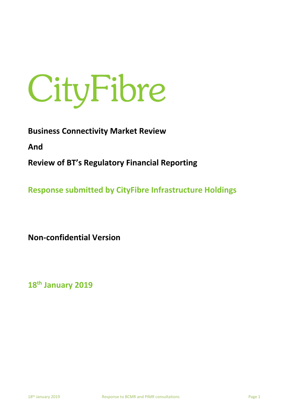# CityFibre

**Business Connectivity Market Review** 

**And**

**Review of BT's Regulatory Financial Reporting**

**Response submitted by CityFibre Infrastructure Holdings** 

**Non-confidential Version**

**18th January 2019**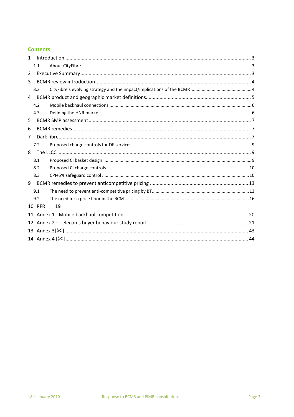# **Contents**

| $\mathbf{1}$        |  |
|---------------------|--|
| 1.1                 |  |
| 2                   |  |
| 3                   |  |
| 3.2                 |  |
| 4                   |  |
| 4.2                 |  |
| 4.3                 |  |
| 5                   |  |
| 6                   |  |
| 7                   |  |
| 7.2                 |  |
| 8                   |  |
| 8.1                 |  |
| 8.2                 |  |
| 8.3                 |  |
|                     |  |
| 9.1                 |  |
| 9.2                 |  |
| <b>10 RFR</b><br>19 |  |
|                     |  |
| 12                  |  |
|                     |  |
|                     |  |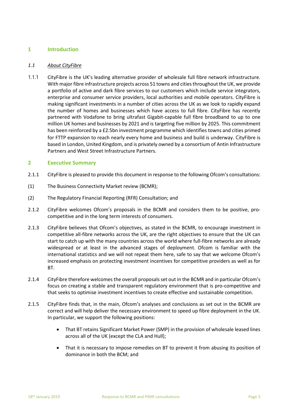## **1 Introduction**

### *1.1 About CityFibre*

1.1.1 CityFibre is the UK's leading alternative provider of wholesale full fibre network infrastructure. With major fibre infrastructure projects across 51 towns and cities throughout the UK, we provide a portfolio of active and dark fibre services to our customers which include service integrators, enterprise and consumer service providers, local authorities and mobile operators. CityFibre is making significant investments in a number of cities across the UK as we look to rapidly expand the number of homes and businesses which have access to full fibre. CityFibre has recently partnered with Vodafone to bring ultrafast Gigabit-capable full fibre broadband to up to one million UK homes and businesses by 2021 and is targeting five million by 2025. This commitment has been reinforced by a £2.5bn investment programme which identifies towns and cities primed for FTTP expansion to reach nearly every home and business and build is underway. CityFibre is based in London, United Kingdom, and is privately owned by a consortium of Antin Infrastructure Partners and West Street Infrastructure Partners.

### **2 Executive Summary**

- 2.1.1 CityFibre is pleased to provide this document in response to the following Ofcom's consultations:
- (1) The Business Connectivity Market review (BCMR);
- (2) The Regulatory Financial Reporting (RFR) Consultation; and
- 2.1.2 CityFibre welcomes Ofcom's proposals in the BCMR and considers them to be positive, procompetitive and in the long term interests of consumers.
- 2.1.3 CityFibre believes that Ofcom's objectives, as stated in the BCMR, to encourage investment in competitive all-fibre networks across the UK, are the right objectives to ensure that the UK can start to catch up with the many countries across the world where full-fibre networks are already widespread or at least in the advanced stages of deployment. Ofcom is familiar with the international statistics and we will not repeat them here, safe to say that we welcome Ofcom's increased emphasis on protecting investment incentives for competitive providers as well as for BT.
- 2.1.4 CityFibre therefore welcomes the overall proposals set out in the BCMR and in particular Ofcom's focus on creating a stable and transparent regulatory environment that is pro-competitive and that seeks to optimise investment incentives to create effective and sustainable competition.
- 2.1.5 CityFibre finds that, in the main, Ofcom's analyses and conclusions as set out in the BCMR are correct and will help deliver the necessary environment to speed up fibre deployment in the UK. In particular, we support the following positions:
	- That BT retains Significant Market Power (SMP) in the provision of wholesale leased lines across all of the UK (except the CLA and Hull);
	- That it is necessary to impose remedies on BT to prevent it from abusing its position of dominance in both the BCM; and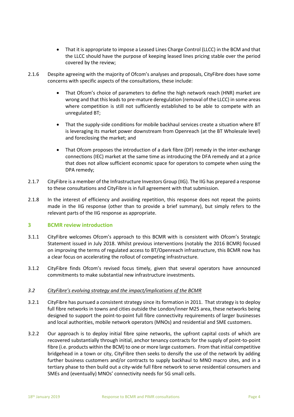- That it is appropriate to impose a Leased Lines Charge Control (LLCC) in the BCM and that the LLCC should have the purpose of keeping leased lines pricing stable over the period covered by the review;
- 2.1.6 Despite agreeing with the majority of Ofcom's analyses and proposals, CityFibre does have some concerns with specific aspects of the consultations, these include:
	- That Ofcom's choice of parameters to define the high network reach (HNR) market are wrong and that this leads to pre-mature deregulation (removal of the LLCC) in some areas where competition is still not sufficiently established to be able to compete with an unregulated BT;
	- That the supply-side conditions for mobile backhaul services create a situation where BT is leveraging its market power downstream from Openreach (at the BT Wholesale level) and foreclosing the market; and
	- That Ofcom proposes the introduction of a dark fibre (DF) remedy in the inter-exchange connections (IEC) market at the same time as introducing the DFA remedy and at a price that does not allow sufficient economic space for operators to compete when using the DPA remedy;
- 2.1.7 CityFibre is a member of the Infrastructure Investors Group (IIG). The IIG has prepared a response to these consultations and CityFibre is in full agreement with that submission.
- 2.1.8 In the interest of efficiency and avoiding repetition, this response does not repeat the points made in the IIG response (other than to provide a brief summary), but simply refers to the relevant parts of the IIG response as appropriate.

### **3 BCMR review introduction**

- 3.1.1 CityFibre welcomes Ofcom's approach to this BCMR with is consistent with Ofcom's Strategic Statement issued in July 2018. Whilst previous interventions (notably the 2016 BCMR) focused on improving the terms of regulated access to BT/Openreach infrastructure, this BCMR now has a clear focus on accelerating the rollout of competing infrastructure.
- 3.1.2 CityFibre finds Ofcom's revised focus timely, given that several operators have announced commitments to make substantial new infrastructure investments.

### *3.2 CityFibre's evolving strategy and the impact/implications of the BCMR*

- 3.2.1 CityFibre has pursued a consistent strategy since its formation in 2011. That strategy is to deploy full fibre networks in towns and cities outside the London/inner M25 area, these networks being designed to support the point-to-point full fibre connectivity requirements of larger businesses and local authorities, mobile network operators (MNOs) and residential and SME customers.
- 3.2.2 Our approach is to deploy initial fibre spine networks, the upfront capital costs of which are recovered substantially through initial, anchor tenancy contracts for the supply of point-to-point fibre (i.e. products within the BCM) to one or more large customers. From that initial competitive bridgehead in a town or city, CityFibre then seeks to densify the use of the network by adding further business customers and/or contracts to supply backhaul to MNO macro sites, and in a tertiary phase to then build out a city-wide full fibre network to serve residential consumers and SMEs and (eventually) MNOs' connectivity needs for 5G small cells.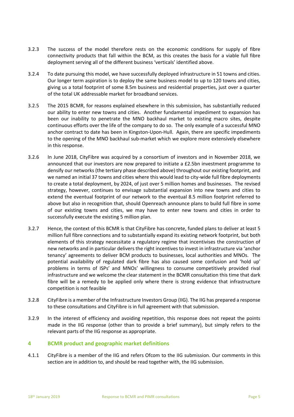- 3.2.3 The success of the model therefore rests on the economic conditions for supply of fibre connectivity products that fall within the BCM, as this creates the basis for a viable full fibre deployment serving all of the different business 'verticals' identified above.
- 3.2.4 To date pursuing this model, we have successfully deployed infrastructure in 51 towns and cities. Our longer term aspiration is to deploy the same business model to up to 120 towns and cities, giving us a total footprint of some 8.5m business and residential properties, just over a quarter of the total UK addressable market for broadband services.
- 3.2.5 The 2015 BCMR, for reasons explained elsewhere in this submission, has substantially reduced our ability to enter new towns and cities. Another fundamental impediment to expansion has been our inability to penetrate the MNO backhaul market to existing macro sites, despite continuous efforts over the life of the company to do so. The only example of a successful MNO anchor contract to date has been in Kingston-Upon-Hull. Again, there are specific impediments to the opening of the MNO backhaul sub-market which we explore more extensively elsewhere in this response.
- 3.2.6 In June 2018, CityFibre was acquired by a consortium of investors and in November 2018, we announced that our investors are now prepared to initiate a £2.5bn investment programme to densify our networks (the tertiary phase described above) throughout our existing footprint, and we named an initial 37 towns and cities where this would lead to city-wide full fibre deployments to create a total deployment, by 2024, of just over 5 million homes and businesses. The revised strategy, however, continues to envisage substantial expansion into new towns and cities to extend the eventual footprint of our network to the eventual 8.5 million footprint referred to above but also in recognition that, should Openreach announce plans to build full fibre in some of our existing towns and cities, we may have to enter new towns and cities in order to successfully execute the existing 5 million plan.
- 3.2.7 Hence, the context of this BCMR is that CityFibre has concrete, funded plans to deliver at least 5 million full fibre connections and to substantially expand its existing network footprint, but both elements of this strategy necessitate a regulatory regime that incentivises the construction of new networks and in particular delivers the right incentives to invest in infrastructure via 'anchor tenancy' agreements to deliver BCM products to businesses, local authorities and MNOs. The potential availability of regulated dark fibre has also caused some confusion and 'hold up' problems in terms of ISPs' and MNOs' willingness to consume competitively provided rival infrastructure and we welcome the clear statement in the BCMR consultation this time that dark fibre will be a remedy to be applied only where there is strong evidence that infrastructure competition is not feasible
- 3.2.8 CityFibre is a member of the Infrastructure Investors Group (IIG). The IIG has prepared a response to these consultations and CityFibre is in full agreement with that submission.
- 3.2.9 In the interest of efficiency and avoiding repetition, this response does not repeat the points made in the IIG response (other than to provide a brief summary), but simply refers to the relevant parts of the IIG response as appropriate.

### **4 BCMR product and geographic market definitions**

4.1.1 CityFibre is a member of the IIG and refers Ofcom to the IIG submission. Our comments in this section are in addition to, and should be read together with, the IIG submission.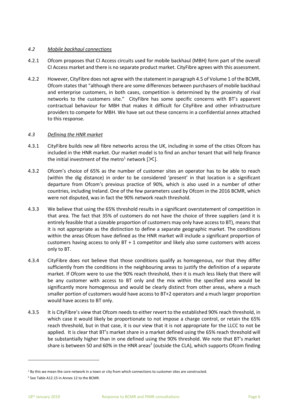### *4.2 Mobile backhaul connections*

- 4.2.1 Ofcom proposes that CI Access circuits used for mobile backhaul (MBH) form part of the overall CI Access market and there is no separate product market. CityFibre agrees with this assessment.
- 4.2.2 However, CityFibre does not agree with the statement in paragraph 4.5 of Volume 1 of the BCMR, Ofcom states that "although there are some differences between purchasers of mobile backhaul and enterprise customers, in both cases, competition is determined by the proximity of rival networks to the customers site." CityFibre has some specific concerns with BT's apparent contractual behaviour for MBH that makes it difficult for CityFibre and other infrastructure providers to compete for MBH. We have set out these concerns in a confidential annex attached to this response.

### *4.3 Defining the HNR market*

- 4.3.1 CityFibre builds new all fibre networks across the UK, including in some of the cities Ofcom has included in the HNR market. Our market model is to find an anchor tenant that will help finance the initial investment of the metro<sup>1</sup> network [ $\mathcal{K}$ ].
- 4.3.2 Ofcom's choice of 65% as the number of customer sites an operator has to be able to reach (within the dig distance) in order to be considered 'present' in that location is a significant departure from Ofcom's previous practice of 90%, which is also used in a number of other countries, including Ireland. One of the few parameters used by Ofcom in the 2016 BCMR, which were not disputed, was in fact the 90% network reach threshold.
- 4.3.3 We believe that using the 65% threshold results in a significant overstatement of competition in that area. The fact that 35% of customers do not have the choice of three suppliers (and it is entirely feasible that a sizeable proportion of customers may only have access to BT), means that it is not appropriate as the distinction to define a separate geographic market. The conditions within the areas Ofcom have defined as the HNR market will include a significant proportion of customers having access to only BT + 1 competitor and likely also some customers with access only to BT.
- 4.3.4 CityFibre does not believe that those conditions qualify as homogenous, nor that they differ sufficiently from the conditions in the neighbouring areas to justify the definition of a separate market. If Ofcom were to use the 90% reach threshold, then it is much less likely that there will be any customer with access to BT only and the mix within the specified area would be significantly more homogenous and would be clearly distinct from other areas, where a much smaller portion of customers would have access to BT+2 operators and a much larger proportion would have access to BT only.
- 4.3.5 It is CityFibre's view that Ofcom needs to either revert to the established 90% reach threshold, in which case it would likely be proportionate to not impose a charge control, or retain the 65% reach threshold, but in that case, it is our view that it is not appropriate for the LLCC to not be applied. It is clear that BT's market share in a market defined using the 65% reach threshold will be substantially higher than in one defined using the 90% threshold. We note that BT's market share is between 50 and 60% in the HNR areas<sup>2</sup> (outside the CLA), which supports Ofcom finding

 $1$  By this we mean the core network in a town or city from which connections to customer sites are constructed.

<sup>&</sup>lt;sup>2</sup> See Table A12.15 in Annex 12 to the BCMR.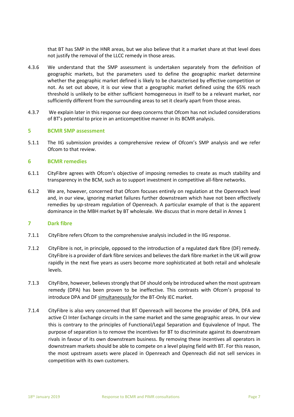that BT has SMP in the HNR areas, but we also believe that it a market share at that level does not justify the removal of the LLCC remedy in those areas.

- 4.3.6 We understand that the SMP assessment is undertaken separately from the definition of geographic markets, but the parameters used to define the geographic market determine whether the geographic market defined is likely to be characterised by effective competition or not. As set out above, it is our view that a geographic market defined using the 65% reach threshold is unlikely to be either sufficient homogeneous in itself to be a relevant market, nor sufficiently different from the surrounding areas to set it clearly apart from those areas.
- 4.3.7 We explain later in this response our deep concerns that Ofcom has not included considerations of BT's potential to price in an anticompetitive manner in its BCMR analysis.

### **5 BCMR SMP assessment**

5.1.1 The IIG submission provides a comprehensive review of Ofcom's SMP analysis and we refer Ofcom to that review.

### **6 BCMR remedies**

- 6.1.1 CityFibre agrees with Ofcom's objective of imposing remedies to create as much stability and transparency in the BCM, such as to support investment in competitive all-fibre networks.
- 6.1.2 We are, however, concerned that Ofcom focuses entirely on regulation at the Openreach level and, in our view, ignoring market failures further downstream which have not been effectively remedies by up-stream regulation of Openreach. A particular example of that is the apparent dominance in the MBH market by BT wholesale. We discuss that in more detail in Annex 1

### **7 Dark fibre**

- 7.1.1 CityFibre refers Ofcom to the comprehensive analysis included in the IIG response.
- 7.1.2 CityFibre is not, in principle, opposed to the introduction of a regulated dark fibre (DF) remedy. CityFibre is a provider of dark fibre services and believes the dark fibre market in the UK will grow rapidly in the next five years as users become more sophisticated at both retail and wholesale levels.
- 7.1.3 CityFibre, however, believes strongly that DF should only be introduced when the most upstream remedy (DPA) has been proven to be ineffective. This contrasts with Ofcom's proposal to introduce DPA and DF simultaneously for the BT-Only IEC market.
- 7.1.4 CityFibre is also very concerned that BT Openreach will become the provider of DPA, DFA and active CI Inter Exchange circuits in the same market and the same geographic areas. In our view this is contrary to the principles of Functional/Legal Separation and Equivalence of Input. The purpose of separation is to remove the incentives for BT to discriminate against its downstream rivals in favour of its own downstream business. By removing these incentives all operators in downstream markets should be able to compete on a level playing field with BT. For this reason, the most upstream assets were placed in Openreach and Openreach did not sell services in competition with its own customers.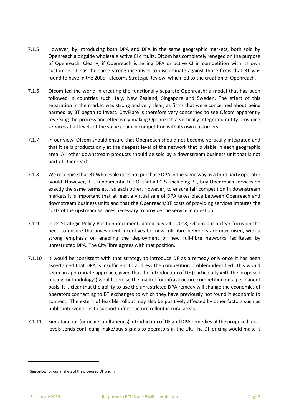- 7.1.5 However, by introducing both DPA and DFA in the same geographic markets, both sold by Openreach alongside wholesale active CI circuits, Ofcom has completely reneged on the purpose of Openreach. Clearly, if Openreach is selling DFA or active CI in competition with its own customers, it has the same strong incentives to discriminate against those firms that BT was found to have in the 2005 Telecoms Strategic Review, which led to the creation of Openreach.
- 7.1.6 Ofcom led the world in creating the functionally separate Openreach: a model that has been followed in countries such Italy, New Zealand, Singapore and Sweden. The effect of this separation in the market was strong and very clear, as firms that were concerned about being harmed by BT began to invest. CityFibre is therefore very concerned to see Ofcom apparently reversing the process and effectively making Openreach a vertically integrated entity providing services at all levels of the value chain in competition with its own customers.
- 7.1.7 In our view, Ofcom should ensure that Openreach should not become vertically integrated and that it sells products only at the deepest level of the network that is viable in each geographic area. All other downstream products should be sold by a downstream business unit that is not part of Openreach.
- 7.1.8 We recognise that BT Wholesale does not purchase DPA in the same way as a third party operator would. However, it is fundamental to EOI that all CPs, including BT, buy Openreach services on exactly the same terms etc. as each other. However, to ensure fair competition in downstream markets it is important that at least a virtual sale of DPA takes place between Openreach and downstream business units and that the Openreach/BT costs of providing services imputes the costs of the upstream services necessary to provide the service in question.
- 7.1.9 In its Strategic Policy Position document, dated July  $24<sup>th</sup>$  2018, Ofcom put a clear focus on the need to ensure that investment incentives for new full fibre networks are maximised, with a strong emphasis on enabling the deployment of new full-fibre networks facilitated by unrestricted DPA. The CityFibre agrees with that position.
- 7.1.10 It would be consistent with that strategy to introduce DF as a remedy only once it has been ascertained that DPA is insufficient to address the competition problem identified. This would seem an appropriate approach, given that the introduction of DF (particularly with the proposed pricing methodology<sup>3</sup>) would sterilise the market for infrastructure competition on a permanent basis. It is clear that the ability to use the unrestricted DPA remedy will change the economics of operators connecting to BT exchanges to which they have previously not found it economic to connect. The extent of feasible rollout may also be positively affected by other factors such as public interventions to support infrastructure rollout in rural areas.
- 7.1.11 Simultaneous (or near simultaneous) introduction of DF and DPA remedies at the proposed price levels sends conflicting make/buy signals to operators in the UK. The DF pricing would make it

<sup>&</sup>lt;sup>3</sup> See below for our analysis of the proposed DF pricing.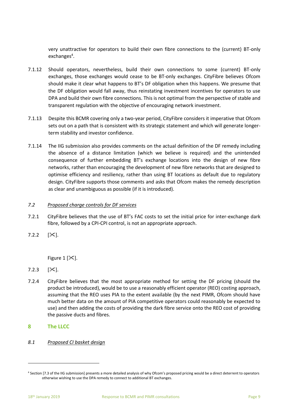very unattractive for operators to build their own fibre connections to the (current) BT-only exchanges<sup>4</sup>.

- 7.1.12 Should operators, nevertheless, build their own connections to some (current) BT-only exchanges, those exchanges would cease to be BT-only exchanges. CityFibre believes Ofcom should make it clear what happens to BT's DF obligation when this happens. We presume that the DF obligation would fall away, thus reinstating investment incentives for operators to use DPA and build their own fibre connections. This is not optimal from the perspective of stable and transparent regulation with the objective of encouraging network investment.
- 7.1.13 Despite this BCMR covering only a two-year period, CityFibre considers it imperative that Ofcom sets out on a path that is consistent with its strategic statement and which will generate longerterm stability and investor confidence.
- 7.1.14 The IIG submission also provides comments on the actual definition of the DF remedy including the absence of a distance limitation (which we believe is required) and the unintended consequence of further embedding BT's exchange locations into the design of new fibre networks, rather than encouraging the development of new fibre networks that are designed to optimise efficiency and resiliency, rather than using BT locations as default due to regulatory design. CityFibre supports those comments and asks that Ofcom makes the remedy description as clear and unambiguous as possible (if it is introduced).

### *7.2 Proposed charge controls for DF services*

- 7.2.1 CityFibre believes that the use of BT's FAC costs to set the initial price for inter-exchange dark fibre, followed by a CPI-CPI control, is not an appropriate approach.
- $7.2.2$   $[\times]$ .

Figure 1  $[\times]$ .

- 7.2.3  $[\mathcal{X}]$ .
- 7.2.4 CityFibre believes that the most appropriate method for setting the DF pricing (should the product be introduced), would be to use a reasonably efficient operator (REO) costing approach, assuming that the REO uses PIA to the extent available (by the next PIMR, Ofcom should have much better data on the amount of PIA competitive operators could reasonably be expected to use) and then adding the costs of providing the dark fibre service onto the REO cost of providing the passive ducts and fibres.
- **8 The LLCC**
- *8.1 Proposed CI basket design*

<sup>4</sup> Section [7.3 of the IIG submission] presents a more detailed analysis of why Ofcom's proposed pricing would be a direct deterrent to operators otherwise wishing to use the DPA remedy to connect to additional BT exchanges.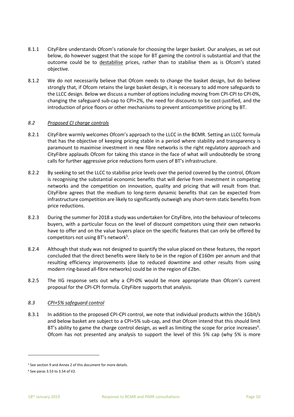- 8.1.1 CityFibre understands Ofcom's rationale for choosing the larger basket. Our analyses, as set out below, do however suggest that the scope for BT gaming the control is substantial and that the outcome could be to destabilise prices, rather than to stabilise them as is Ofcom's stated objective.
- 8.1.2 We do not necessarily believe that Ofcom needs to change the basket design, but do believe strongly that, if Ofcom retains the large basket design, it is necessary to add more safeguards to the LLCC design. Below we discuss a number of options including moving from CPI-CPI to CPI-0%, changing the safeguard sub-cap to CPI+2%, the need for discounts to be cost-justified, and the introduction of price floors or other mechanisms to prevent anticompetitive pricing by BT.

### *8.2 Proposed CI charge controls*

- 8.2.1 CityFibre warmly welcomes Ofcom's approach to the LLCC in the BCMR. Setting an LLCC formula that has the objective of keeping pricing stable in a period where stability and transparency is paramount to maximise investment in new fibre networks is the right regulatory approach and CityFibre applauds Ofcom for taking this stance in the face of what will undoubtedly be strong calls for further aggressive price reductions form users of BT's infrastructure.
- 8.2.2 By seeking to set the LLCC to stabilise price levels over the period covered by the control, Ofcom is recognising the substantial economic benefits that will derive from investment in competing networks and the competition on innovation, quality and pricing that will result from that. CityFibre agrees that the medium to long-term dynamic benefits that can be expected from infrastructure competition are likely to significantly outweigh any short-term static benefits from price reductions.
- 8.2.3 During the summer for 2018 a study was undertaken for CityFibre, into the behaviour of telecoms buyers, with a particular focus on the level of discount competitors using their own networks have to offer and on the value buyers place on the specific features that can only be offered by competitors not using BT's network<sup>5</sup>.
- 8.2.4 Although that study was not designed to quantify the value placed on these features, the report concluded that the direct benefits were likely to be in the region of £160m per annum and that resulting efficiency improvements (due to reduced downtime and other results from using modern ring-based all-fibre networks) could be in the region of £2bn.
- 8.2.5 The IIG response sets out why a CPI-0% would be more appropriate than Ofcom's current proposal for the CPI-CPI formula. CityFibre supports that analysis.

### <span id="page-9-0"></span>*8.3 CPI+5% safeguard control*

8.3.1 In addition to the proposed CPI-CPI control, we note that individual products within the 1Gbit/s and below basket are subject to a CPI+5% sub-cap, and that Ofcom intend that this should limit BT's ability to game the charge control design, as well as limiting the scope for price increases<sup>6</sup>. Ofcom has not presented any analysis to support the level of this 5% cap (why 5% is more

<sup>5</sup> See section 9 and Annex 2 of this document for more details.

<sup>6</sup> See paras 3.53 to 3.54 of V2.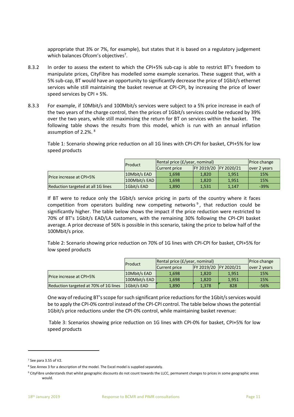appropriate that 3% or 7%, for example), but states that it is based on a regulatory judgement which balances Ofcom's objectives<sup>7</sup>.

- 8.3.2 In order to assess the extent to which the CPI+5% sub-cap is able to restrict BT's freedom to manipulate prices, CityFibre has modelled some example scenarios. These suggest that, with a 5% sub-cap, BT would have an opportunity to significantly decrease the price of 1Gbit/s ethernet services while still maintaining the basket revenue at CPI-CPI, by increasing the price of lower speed services by CPI + 5%.
- 8.3.3 For example, if 10Mbit/s and 100Mbit/s services were subject to a 5% price increase in each of the two years of the charge control, then the prices of 1Gbit/s services could be reduced by 39% over the two years, while still maximising the return for BT on services within the basket. The following table shows the results from this model, which is run with an annual inflation assumption of 2.2%. 8

Table 1: Scenario showing price reduction on all 1G lines with CPI-CPI for basket, CPI+5% for low speed products

|                                    | Product         | Rental price (£/year, nominal) |                       |       | Price change  |
|------------------------------------|-----------------|--------------------------------|-----------------------|-------|---------------|
|                                    |                 | Current price                  | FY 2019/20 FY 2020/21 |       | lover 2 years |
| <b>Price increase at CPI+5%</b>    | 10Mbit/s EAD    | 1.698                          | 1.820                 | 1.951 | 15%           |
|                                    | $100Mbit/s$ EAD | 1.698                          | 1.820                 | 1,951 | 15%           |
| Reduction targeted at all 1G lines | 1Gbit/s EAD     | 1,890                          | 1,531                 | 1.147 | $-39%$        |

If BT were to reduce only the 1Gbit/s service pricing in parts of the country where it faces competition from operators building new competing networks<sup>9</sup>, that reduction could be significantly higher. The table below shows the impact if the price reduction were restricted to 70% of BT's 1Gbit/s EAD/LA customers, with the remaining 30% following the CPI-CPI basket average. A price decrease of 56% is possible in this scenario, taking the price to below half of the 100Mbit/s price.

Table 2: Scenario showing price reduction on 70% of 1G lines with CPI-CPI for basket, CPI+5% for low speed products

|                                       | Product       | Rental price (£/year, nominal) |            |                   | Price change  |
|---------------------------------------|---------------|--------------------------------|------------|-------------------|---------------|
|                                       |               | Current price                  | FY 2019/20 | <b>FY 2020/21</b> | lover 2 years |
| <b>Price increase at CPI+5%</b>       | 10Mbit/s EAD  | 1.698                          | 1.820      | 1.951             | 15%           |
|                                       | 100Mbit/s EAD | 1.698                          | 1.820      | 1.951             | 15%           |
| Reduction targeted at 70% of 1G lines | 1Gbit/s EAD   | 1,890                          | 1,378      | 828               | $-56%$        |

One way of reducing BT's scope for such significant price reductions for the 1Gbit/s services would be to apply the CPI-0% control instead of the CPI-CPI control. The table below shows the potential 1Gbit/s price reductions under the CPI-0% control, while maintaining basket revenue:

Table 3: Scenarios showing price reduction on 1G lines with CPI-0% for basket, CPI+5% for low speed products

<sup>7</sup> See para 3.55 of V2.

<sup>&</sup>lt;sup>8</sup> See Annex 3 for a description of the model. The Excel model is supplied separately.

<sup>&</sup>lt;sup>9</sup> CityFibre understands that whilst geographic discounts do not count towards the LLCC, permanent changes to prices in some geographic areas would.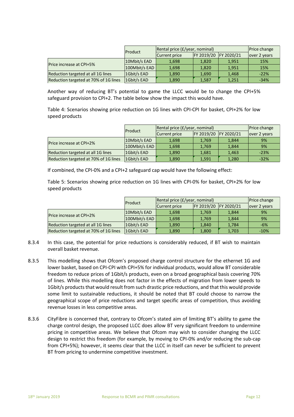|                                       | Product       | Rental price (£/year, nominal) |            |            | Price change  |
|---------------------------------------|---------------|--------------------------------|------------|------------|---------------|
|                                       |               | Current price                  | FY 2019/20 | FY 2020/21 | lover 2 years |
| <b>Price increase at CPI+5%</b>       | 10Mbit/s EAD  | 1,698                          | 1,820      | 1,951      | 15%           |
|                                       | 100Mbit/s EAD | 1.698                          | 1,820      | 1,951      | 15%           |
| Reduction targeted at all 1G lines    | 1Gbit/s EAD   | 1.890                          | 1.690      | 1.468      | $-22%$        |
| Reduction targeted at 70% of 1G lines | 1Gbit/s EAD   | 1,890                          | 1,587      | 1,251      | $-34%$        |

Another way of reducing BT's potential to game the LLCC would be to change the CPI+5% safeguard provision to CPI+2. The table below show the impact this would have.

Table 4: Scenarios showing price reduction on 1G lines with CPI-CPI for basket, CPI+2% for low speed products

|                                       | Product       | Rental price (£/year, nominal) |            |            | <b>Price change</b> |
|---------------------------------------|---------------|--------------------------------|------------|------------|---------------------|
|                                       |               | Current price                  | FY 2019/20 | FY 2020/21 | lover 2 years       |
| <b>Price increase at CPI+2%</b>       | 10Mbit/s EAD  | 1,698                          | 1,769      | 1,844      | 9%                  |
|                                       | 100Mbit/s EAD | 1,698                          | 1,769      | 1,844      | 9%                  |
| Reduction targeted at all 1G lines    | 1Gbit/s EAD   | 1.890                          | 1.681      | 1.463      | $-23%$              |
| Reduction targeted at 70% of 1G lines | 1Gbit/s EAD   | 1,890                          | 1,591      | 1,280      | $-32%$              |

If combined, the CPI-0% and a CPI+2 safeguard cap would have the following effect:

Table 5: Scenarios showing price reduction on 1G lines with CPI-0% for basket, CPI+2% for low speed products

|                                       | Product       | Rental price (£/year, nominal) | Price change |            |               |
|---------------------------------------|---------------|--------------------------------|--------------|------------|---------------|
|                                       |               | Current price                  | FY 2019/20   | FY 2020/21 | lover 2 years |
| Price increase at CPI+2%              | 10Mbit/s EAD  | 1,698                          | 1,769        | 1,844      | 9%            |
|                                       | 100Mbit/s EAD | 1,698                          | 1,769        | 1,844      | 9%            |
| Reduction targeted at all 1G lines    | 1Gbit/s EAD   | 1.890                          | 1.840        | 1,784      | $-6%$         |
| Reduction targeted at 70% of 1G lines | 1Gbit/s EAD   | 1,890                          | 1,800        | 1,703      | $-10%$        |

- 8.3.4 In this case, the potential for price reductions is considerably reduced, if BT wish to maintain overall basket revenue.
- 8.3.5 This modelling shows that Ofcom's proposed charge control structure for the ethernet 1G and lower basket, based on CPI-CPI with CPI+5% for individual products, would allow BT considerable freedom to reduce prices of 1Gbit/s products, even on a broad geographical basis covering 70% of lines. While this modelling does not factor in the effects of migration from lower speeds to 1Gbit/s productsthat would result from such drastic price reductions, and that this would provide some limit to sustainable reductions, it should be noted that BT could choose to narrow the geographical scope of price reductions and target specific areas of competition, thus avoiding revenue losses in less competitive areas.
- 8.3.6 CityFibre is concerned that, contrary to Ofcom's stated aim of limiting BT's ability to game the charge control design, the proposed LLCC does allow BT very significant freedom to undermine pricing in competitive areas. We believe that Ofcom may wish to consider changing the LLCC design to restrict this freedom (for example, by moving to CPI-0% and/or reducing the sub-cap from CPI+5%); however, it seems clear that the LLCC in itself can never be sufficient to prevent BT from pricing to undermine competitive investment.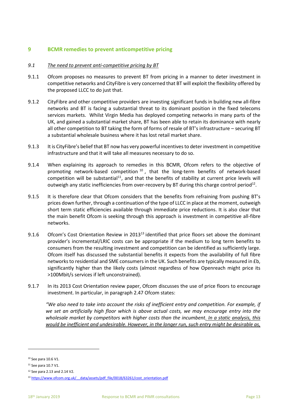## **9 BCMR remedies to prevent anticompetitive pricing**

### *9.1 The need to prevent anti-competitive pricing by BT*

- 9.1.1 Ofcom proposes no measures to prevent BT from pricing in a manner to deter investment in competitive networks and CityFibre is very concerned that BT will exploit the flexibility offered by the proposed LLCC to do just that.
- 9.1.2 CityFibre and other competitive providers are investing significant funds in building new all-fibre networks and BT is facing a substantial threat to its dominant position in the fixed telecoms services markets. Whilst Virgin Media has deployed competing networks in many parts of the UK, and gained a substantial market share, BT has been able to retain its dominance with nearly all other competition to BT taking the form of forms of resale of BT's infrastructure – securing BT a substantial wholesale business where it has lost retail market share.
- 9.1.3 It is CityFibre's belief that BT now has very powerful incentives to deter investment in competitive infrastructure and that it will take all measures necessary to do so.
- 9.1.4 When explaining its approach to remedies in this BCMR, Ofcom refers to the objective of promoting network-based competition <sup>10</sup>, that the long-term benefits of network-based competition will be substantial<sup>11</sup>, and that the benefits of stability at current price levels will outweigh any static inefficiencies from over-recovery by BT during this charge control period<sup>12</sup>.
- 9.1.5 It is therefore clear that Ofcom considers that the benefits from refraining from pushing BT's prices down further, through a continuation of the type of LLCC in place at the moment, outweigh short term static efficiencies available through immediate price reductions. It is also clear that the main benefit Ofcom is seeking through this approach is investment in competitive all-fibre networks.
- 9.1.6 Ofcom's Cost Orientation Review in 2013<sup>13</sup> identified that price floors set above the dominant provider's incremental/LRIC costs can be appropriate if the medium to long term benefits to consumers from the resulting investment and competition can be identified as sufficiently large. Ofcom itself has discussed the substantial benefits it expects from the availability of full fibre networks to residential and SME consumersin the UK. Such benefits are typically measured in £b, significantly higher than the likely costs (almost regardless of how Openreach might price its >100Mbit/s services if left unconstrained).
- 9.1.7 In its 2013 Cost Orientation review paper, Ofcom discusses the use of price floors to encourage investment. In particular, in paragraph 2.47 Ofcom states:

*"We also need to take into account the risks of inefficient entry and competition. For example, if we set an artificially high floor which is above actual costs, we may encourage entry into the wholesale market by competitors with higher costs than the incumbent. In a static analysis, this would be inefficient and undesirable. However, in the longer run, such entry might be desirable as,* 

<sup>10</sup> See para 10.6 V1.

<sup>11</sup> See para 10.7 V1.

<sup>12</sup> See para 2.13 and 2.14 V2.

<sup>&</sup>lt;sup>13</sup> https://www.ofcom.org.uk/ data/assets/pdf file/0018/63261/cost\_orientation.pdf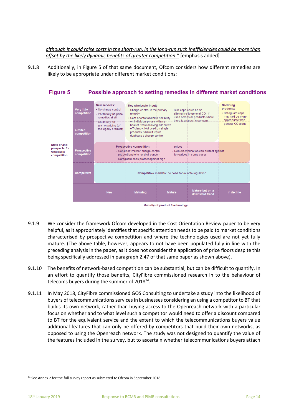*although it could raise costs in the short-run, in the long-run such inefficiencies could be more than offset by the likely dynamic benefits of greater competition."* [emphasis added]

9.1.8 Additionally, in Figure 5 of that same document, Ofcom considers how different remedies are likely to be appropriate under different market conditions:



- Maturity of product / technology
- 9.1.9 We consider the framework Ofcom developed in the Cost Orientation Review paper to be very helpful, as it appropriately identifies that specific attention needs to be paid to market conditions characterised by prospective competition and where the technologies used are not yet fully mature. (The above table, however, appears to not have been populated fully in line with the preceding analysis in the paper, as it does not consider the application of price floors despite this being specifically addressed in paragraph 2.47 of that same paper as shown above).
- 9.1.10 The benefits of network-based competition can be substantial, but can be difficult to quantify. In an effort to quantify those benefits, CityFibre commissioned research in to the behaviour of telecoms buyers during the summer of 2018 $^{14}$ .
- 9.1.11 In May 2018, CityFibre commissioned GOS Consulting to undertake a study into the likelihood of buyers of telecommunications services in businesses considering an using a competitor to BT that builds its own network, rather than buying access to the Openreach network with a particular focus on whether and to what level such a competitor would need to offer a discount compared to BT for the equivalent service and the extent to which the telecommunications buyers value additional features that can only be offered by competitors that build their own networks, as opposed to using the Openreach network. The study was not designed to quantify the value of the features included in the survey, but to ascertain whether telecommunications buyers attach

<sup>&</sup>lt;sup>14</sup> See Annex 2 for the full survey report as submitted to Ofcom in September 2018.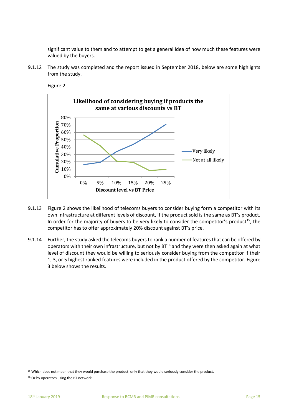significant value to them and to attempt to get a general idea of how much these features were valued by the buyers.

9.1.12 The study was completed and the report issued in September 2018, below are some highlights from the study.



Figure 2

- 9.1.13 Figure 2 shows the likelihood of telecoms buyers to consider buying form a competitor with its own infrastructure at different levels of discount, if the product sold is the same as BT's product. In order for the majority of buyers to be very likely to consider the competitor's product<sup>15</sup>, the competitor has to offer approximately 20% discount against BT's price.
- 9.1.14 Further, the study asked the telecoms buyers to rank a number of features that can be offered by operators with their own infrastructure, but not by  $BT^{16}$  and they were then asked again at what level of discount they would be willing to seriously consider buying from the competitor if their 1, 3, or 5 highest ranked features were included in the product offered by the competitor. Figure 3 below shows the results.

<sup>15</sup> Which does not mean that they would purchase the product, only that they would seriously consider the product.

<sup>&</sup>lt;sup>16</sup> Or by operators using the BT network.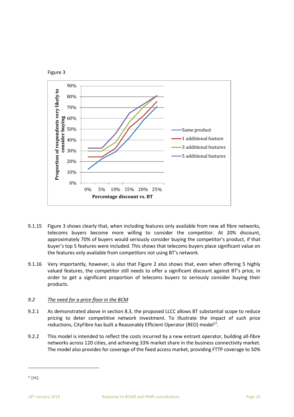



- 9.1.15 Figure 3 shows clearly that, when including features only available from new all fibre networks, telecoms buyers become more willing to consider the competitor. At 20% discount, approximately 70% of buyers would seriously consider buying the competitor's product, if that buyer's top 5 features were included. This shows that telecoms buyers place significant value on the features only available from competitors not using BT's network.
- 9.1.16 Very importantly, however, is also that Figure 2 also shows that, even when offering 5 highly valued features, the competitor still needs to offer a significant discount against BT's price, in order to get a significant proportion of telecoms buyers to seriously consider buying their products.

### *9.2 The need for a price floor in the BCM*

- 9.2.1 As demonstrated above in section [8.3,](#page-9-0) the proposed LLCC allows BT substantial scope to reduce pricing to deter competitive network investment. To illustrate the impact of such price reductions, CityFibre has built a Reasonably Efficient Operator (REO) model<sup>17</sup>.
- 9.2.2 This model is intended to reflect the costs incurred by a new entrant operator, building all-fibre networks across 120 cities, and achieving 33% market share in the business connectivity market. The model also provides for coverage of the fixed access market, providing FTTP coverage to 50%

 $17$  [ $\times$ ].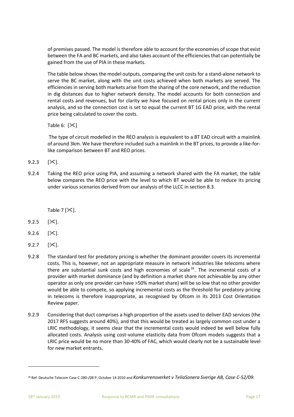of premises passed. The model is therefore able to account for the economies of scope that exist between the FA and BC markets, and also takes account of the efficiencies that can potentially be gained from the use of PIA in these markets.

The table below shows the model outputs, comparing the unit costs for a stand-alone network to serve the BC market, along with the unit costs achieved when both markets are served. The efficiencies in serving both markets arise from the sharing of the core network, and the reduction in dig distances due to higher network density. The model accounts for both connection and rental costs and revenues, but for clarity we have focused on rental prices only in the current analysis, and so the connection cost is set to equal the current BT 1G EAD price, with the rental price being calculated to cover the costs.

Table 6:  $[\mathcal{K}]$ 

The type of circuit modelled in the REO analysis is equivalent to a BT EAD circuit with a mainlink of around 3km. We have therefore included such a mainlink in the BT prices, to provide a like-forlike comparison between BT and REO prices.

9.2.3  $[\times]$ .

9.2.4 Taking the REO price using PIA, and assuming a network shared with the FA market, the table below compares the REO price with the level to which BT would be able to reduce its pricing under various scenarios derived from our analysis of the LLCC in section 8.3.

Table 7  $[\mathcal{K}]$ .

- 9.2.5  $[\times]$ .
- 9.2.6  $[\times]$ .
- $9.2.7$   $[\times]$ .
- 9.2.8 The standard test for predatory pricing is whether the dominant provider covers its incremental costs. This is, however, not an appropriate measure in network industries like telecoms where there are substantial sunk costs and high economies of scale  $18$ . The incremental costs of a provider with market dominance (and by definition a market share not achievable by any other operator as only one provider can have >50% market share) will be so low that no other provider would be able to compete, so applying incremental costs as the threshold for predatory pricing in telecoms is therefore inappropriate, as recognised by Ofcom in its 2013 Cost Orientation Review paper.
- 9.2.9 Considering that duct comprises a high proportion of the assets used to deliver EAD services (the 2017 RFS suggests around 40%), and that this would be treated as largely common cost under a LRIC methodology, it seems clear that the incremental costs would indeed be well below fully allocated costs. Analysis using cost-volume elasticity data from Ofcom models suggests that a LRIC price would be no more than 30-40% of FAC, which would clearly not be a sustainable level for new market entrants.

 $\overline{\phantom{a}}$ 

<sup>18</sup> Ref: Deutsche Telecom Case C-280-/08 P, October 14 2010 and *Konkurrensverket v TeliaSonera Sverige AB, Case C-52/09.*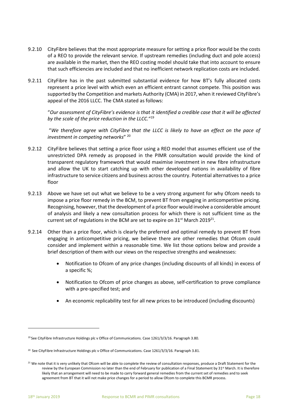- 9.2.10 CityFibre believes that the most appropriate measure for setting a price floor would be the costs of a REO to provide the relevant service. If upstream remedies (including duct and pole access) are available in the market, then the REO costing model should take that into account to ensure that such efficiencies are included and that no inefficient network replication costs are included.
- 9.2.11 CityFibre has in the past submitted substantial evidence for how BT's fully allocated costs represent a price level with which even an efficient entrant cannot compete. This position was supported by the Competition and markets Authority (CMA) in 2017, when it reviewed CityFibre's appeal of the 2016 LLCC. The CMA stated as follows:

"*Our assessment of CityFibre's evidence is that it identified a credible case that it will be affected by the scale of the price reduction in the LLCC.*" 19

"*We therefore agree with CityFibre that the LLCC is likely to have an effect on the pace of investment in competing networks*" 20

- 9.2.12 CityFibre believes that setting a price floor using a REO model that assumes efficient use of the unrestricted DPA remedy as proposed in the PIMR consultation would provide the kind of transparent regulatory framework that would maximise investment in new fibre infrastructure and allow the UK to start catching up with other developed nations in availability of fibre infrastructure to service citizens and business across the country. Potential alternatives to a price floor
- 9.2.13 Above we have set out what we believe to be a very strong argument for why Ofcom needs to impose a price floor remedy in the BCM, to prevent BT from engaging in anticompetitive pricing. Recognising, however, that the development of a price floor would involve a considerable amount of analysis and likely a new consultation process for which there is not sufficient time as the current set of regulations in the BCM are set to expire on 31 $^{\rm st}$  March 2019 $^{\rm 21}.$
- 9.2.14 Other than a price floor, which is clearly the preferred and optimal remedy to prevent BT from engaging in anticompetitive pricing, we believe there are other remedies that Ofcom could consider and implement within a reasonable time. We list those options below and provide a brief description of them with our views on the respective strengths and weaknesses:
	- Notification to Ofcom of any price changes (including discounts of all kinds) in excess of a specific %;
	- Notification to Ofcom of price changes as above, self-certification to prove compliance with a pre-specified test; and
	- An economic replicability test for all new prices to be introduced (including discounts)

<sup>&</sup>lt;sup>19</sup> See CityFibre Infrastructure Holdings plc v Office of Communications. Case 1261/3/3/16. Paragraph 3.80.

<sup>&</sup>lt;sup>20</sup> See CityFibre Infrastructure Holdings plc v Office of Communications. Case 1261/3/3/16. Paragraph 3.81.

<sup>&</sup>lt;sup>21</sup> We note that it is very unlikely that Ofcom will be able to complete the review of consultation responses, produce a Draft Statement for the review by the European Commission no later than the end of February for publication of a Final Statement by 31<sup>st</sup> March. It is therefore likely that an arrangement will need to be made to carry forward general remedies from the current set of remedies and to seek agreement from BT that it will not make price changes for a period to allow Ofcom to complete this BCMR process.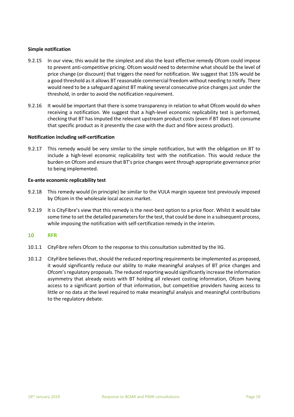### **Simple notification**

- 9.2.15 In our view, this would be the simplest and also the least effective remedy Ofcom could impose to prevent anti-competitive pricing. Ofcom would need to determine what should be the level of price change (or discount) that triggers the need for notification. We suggest that 15% would be a good threshold as it allows BT reasonable commercial freedom without needing to notify. There would need to be a safeguard against BT making several consecutive price changes just under the threshold, in order to avoid the notification requirement.
- 9.2.16 It would be important that there is some transparency in relation to what Ofcom would do when receiving a notification. We suggest that a high-level economic replicability test is performed, checking that BT has imputed the relevant upstream product costs (even if BT does not consume that specific product as it presently the case with the duct and fibre access product).

### **Notification including self-certification**

9.2.17 This remedy would be very similar to the simple notification, but with the obligation on BT to include a high-level economic replicability test with the notification. This would reduce the burden on Ofcom and ensure that BT's price changes went through appropriate governance prior to being implemented.

### **Ex-ante economic replicability test**

- 9.2.18 This remedy would (in principle) be similar to the VULA margin squeeze test previously imposed by Ofcom in the wholesale local access market.
- 9.2.19 It is CityFibre's view that this remedy is the next-best option to a price floor. Whilst it would take some time to set the detailed parameters for the test, that could be done in a subsequent process, while imposing the notification with self-certification remedy in the interim.

### **10 RFR**

- 10.1.1 CityFibre refers Ofcom to the response to this consultation submitted by the IIG.
- 10.1.2 CityFibre believes that, should the reduced reporting requirements be implemented as proposed, it would significantly reduce our ability to make meaningful analyses of BT price changes and Ofcom's regulatory proposals. The reduced reporting would significantly increase the information asymmetry that already exists with BT holding all relevant costing information, Ofcom having access to a significant portion of that information, but competitive providers having access to little or no data at the level required to make meaningful analysis and meaningful contributions to the regulatory debate.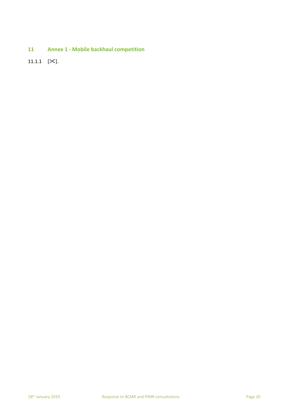**11 Annex 1 - Mobile backhaul competition** 

11.1.1  $[\times]$ .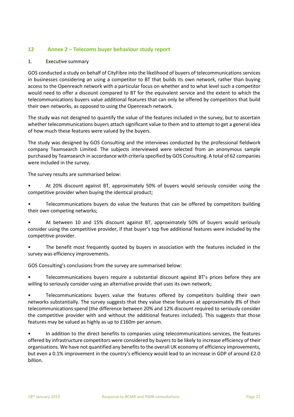# **12 Annex 2 – Telecoms buyer behaviour study report**

### 1. Executive summary

GOS conducted a study on behalf of CityFibre into the likelihood of buyers of telecommunications services in businesses considering an using a competitor to BT that builds its own network, rather than buying access to the Openreach network with a particular focus on whether and to what level such a competitor would need to offer a discount compared to BT for the equivalent service and the extent to which the telecommunications buyers value additional features that can only be offered by competitors that build their own networks, as opposed to using the Openreach network.

The study was not designed to quantify the value of the features included in the survey, but to ascertain whether telecommunications buyers attach significant value to them and to attempt to get a general idea of how much these features were valued by the buyers.

The study was designed by GOS Consulting and the interviews conducted by the professional fieldwork company Teamsearch Limited. The subjects interviewed were selected from an anonymous sample purchased by Teamsearch in accordance with criteria specified by GOS Consulting. A total of 62 companies were included in the survey.

The survey results are summarised below:

• At 20% discount against BT, approximately 50% of buyers would seriously consider using the competitive provider when buying the identical product;

• Telecommunications buyers do value the features that can be offered by competitors building their own competing networks;

• At between 10 and 15% discount against BT, approximately 50% of buyers would seriously consider using the competitive provider, if that buyer's top five additional features were included by the competitive provider.

The benefit most frequently quoted by buyers in association with the features included in the survey was efficiency improvements.

GOS Consulting's conclusions from the survey are summarised below:

• Telecommunications buyers require a substantial discount against BT's prices before they are willing to seriously consider using an alternative provide that uses its own network;

• Telecommunications buyers value the features offered by competitors building their own networks substantially. The survey suggests that they value these features at approximately 8% of their telecommunications spend (the difference between 20% and 12% discount required to seriously consider the competitive provider with and without the additional features included). This suggests that those features may be valued as highly as up to £160m per annum.

• In addition to the direct benefits to companies using telecommunications services, the features offered by infrastructure competitors were considered by buyers to be likely to increase efficiency of their organisations. We have not quantified any benefits to the overall UK economy of efficiency improvements, but even a 0.1% improvement in the country's efficiency would lead to an increase in GDP of around £2.0 billion.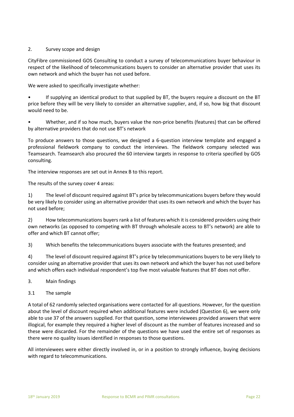### 2. Survey scope and design

CityFibre commissioned GOS Consulting to conduct a survey of telecommunications buyer behaviour in respect of the likelihood of telecommunications buyers to consider an alternative provider that uses its own network and which the buyer has not used before.

We were asked to specifically investigate whether:

• If supplying an identical product to that supplied by BT, the buyers require a discount on the BT price before they will be very likely to consider an alternative supplier, and, if so, how big that discount would need to be.

• Whether, and if so how much, buyers value the non-price benefits (features) that can be offered by alternative providers that do not use BT's network

To produce answers to those questions, we designed a 6-question interview template and engaged a professional fieldwork company to conduct the interviews. The fieldwork company selected was Teamsearch. Teamsearch also procured the 60 interview targets in response to criteria specified by GOS consulting.

The interview responses are set out in Annex B to this report.

The results of the survey cover 4 areas:

1) The level of discount required against BT's price by telecommunications buyers before they would be very likely to consider using an alternative provider that uses its own network and which the buyer has not used before;

2) How telecommunications buyers rank a list of features which it is considered providers using their own networks (as opposed to competing with BT through wholesale access to BT's network) are able to offer and which BT cannot offer;

3) Which benefits the telecommunications buyers associate with the features presented; and

4) The level of discount required against BT's price by telecommunications buyers to be very likely to consider using an alternative provider that uses its own network and which the buyer has not used before and which offers each individual respondent's top five most valuable features that BT does not offer.

- 3. Main findings
- 3.1 The sample

A total of 62 randomly selected organisations were contacted for all questions. However, for the question about the level of discount required when additional features were included (Question 6), we were only able to use 37 of the answers supplied. For that question, some interviewees provided answers that were illogical, for example they required a higher level of discount as the number of features increased and so these were discarded. For the remainder of the questions we have used the entire set of responses as there were no quality issues identified in responses to those questions.

All interviewees were either directly involved in, or in a position to strongly influence, buying decisions with regard to telecommunications.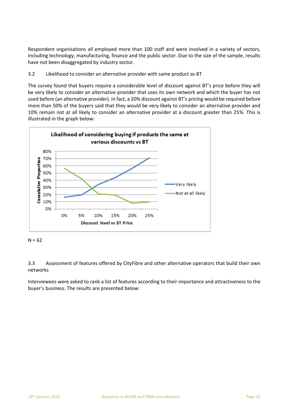Respondent organisations all employed more than 100 staff and were involved in a variety of sectors, including technology, manufacturing, finance and the public sector. Due to the size of the sample, results have not been disaggregated by industry sector.

### 3.2 Likelihood to consider an alternative provider with same product as BT

The survey found that buyers require a considerable level of discount against BT's price before they will be very likely to consider an alternative provider that uses its own network and which the buyer has not used before (an alternative provider). In fact, a 20% discount against BT's pricing would be required before more than 50% of the buyers said that they would be very likely to consider an alternative provider and 10% remain not at all likely to consider an alternative provider at a discount greater than 25%. This is illustrated in the graph below:



 $N = 62$ 

3.3 Assessment of features offered by CityFibre and other alternative operators that build their own networks

Interviewees were asked to rank a list of features according to their importance and attractiveness to the buyer's business. The results are presented below: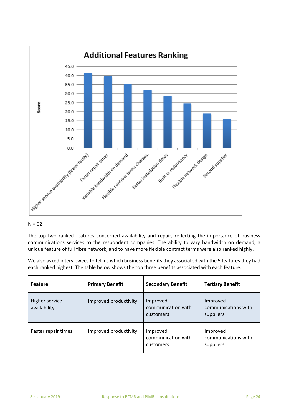

### $N = 62$

The top two ranked features concerned availability and repair, reflecting the importance of business communications services to the respondent companies. The ability to vary bandwidth on demand, a unique feature of full fibre network, and to have more flexible contract terms were also ranked highly.

We also asked interviewees to tell us which business benefits they associated with the 5 features they had each ranked highest. The table below shows the top three benefits associated with each feature:

| <b>Feature</b>                 | <b>Primary Benefit</b> | <b>Secondary Benefit</b>                    | <b>Tertiary Benefit</b>                      |
|--------------------------------|------------------------|---------------------------------------------|----------------------------------------------|
| Higher service<br>availability | Improved productivity  | Improved<br>communication with<br>customers | Improved<br>communications with<br>suppliers |
| Faster repair times            | Improved productivity  | Improved<br>communication with<br>customers | Improved<br>communications with<br>suppliers |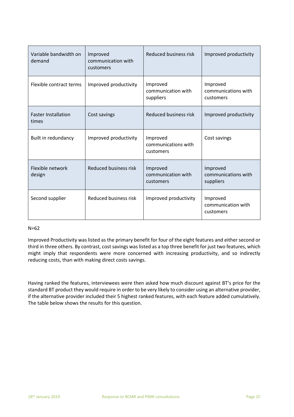| Variable bandwidth on<br>demand     | Improved<br>communication with<br>customers | <b>Reduced business risk</b>                 | Improved productivity                        |
|-------------------------------------|---------------------------------------------|----------------------------------------------|----------------------------------------------|
| Flexible contract terms             | Improved productivity                       | Improved<br>communication with<br>suppliers  | Improved<br>communications with<br>customers |
| <b>Faster Installation</b><br>times | Cost savings                                | <b>Reduced business risk</b>                 | Improved productivity                        |
| Built in redundancy                 | Improved productivity                       | Improved<br>communications with<br>customers | Cost savings                                 |
| Flexible network<br>design          | Reduced business risk                       | Improved<br>communication with<br>customers  | Improved<br>communications with<br>suppliers |
| Second supplier                     | Reduced business risk                       | Improved productivity                        | Improved<br>communication with<br>customers  |

### N=62

Improved Productivity was listed as the primary benefit for four of the eight features and either second or third in three others. By contrast, cost savings was listed as a top three benefit for just two features, which might imply that respondents were more concerned with increasing productivity, and so indirectly reducing costs, than with making direct costs savings.

Having ranked the features, interviewees were then asked how much discount against BT's price for the standard BT product they would require in order to be very likely to consider using an alternative provider, if the alternative provider included their 5 highest ranked features, with each feature added cumulatively. The table below shows the results for this question.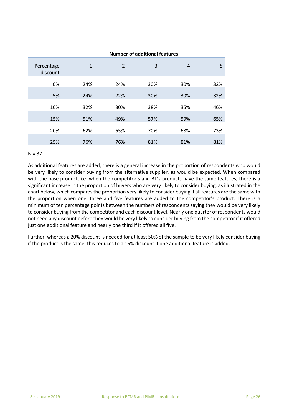|                        |              |                | <b>Number of additional features</b> |                |     |
|------------------------|--------------|----------------|--------------------------------------|----------------|-----|
| Percentage<br>discount | $\mathbf{1}$ | $\overline{2}$ | 3                                    | $\overline{4}$ | 5   |
| 0%                     | 24%          | 24%            | 30%                                  | 30%            | 32% |
| 5%                     | 24%          | 22%            | 30%                                  | 30%            | 32% |
| 10%                    | 32%          | 30%            | 38%                                  | 35%            | 46% |
| 15%                    | 51%          | 49%            | 57%                                  | 59%            | 65% |
| 20%                    | 62%          | 65%            | 70%                                  | 68%            | 73% |
| 25%                    | 76%          | 76%            | 81%                                  | 81%            | 81% |

### $N = 37$

As additional features are added, there is a general increase in the proportion of respondents who would be very likely to consider buying from the alternative supplier, as would be expected. When compared with the base product, i.e. when the competitor's and BT's products have the same features, there is a significant increase in the proportion of buyers who are very likely to consider buying, as illustrated in the chart below, which compares the proportion very likely to consider buying if all features are the same with the proportion when one, three and five features are added to the competitor's product. There is a minimum of ten percentage points between the numbers of respondents saying they would be very likely to consider buying from the competitor and each discount level. Nearly one quarter of respondents would not need any discount before they would be very likely to consider buying from the competitor if it offered just one additional feature and nearly one third if it offered all five.

Further, whereas a 20% discount is needed for at least 50% of the sample to be very likely consider buying if the product is the same, this reduces to a 15% discount if one additional feature is added.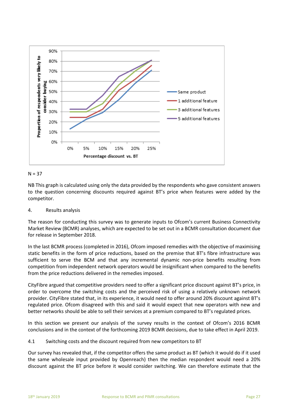

### $N = 37$

NB This graph is calculated using only the data provided by the respondents who gave consistent answers to the question concerning discounts required against BT's price when features were added by the competitor.

4. Results analysis

The reason for conducting this survey was to generate inputs to Ofcom's current Business Connectivity Market Review (BCMR) analyses, which are expected to be set out in a BCMR consultation document due for release in September 2018.

In the last BCMR process (completed in 2016), Ofcom imposed remedies with the objective of maximising static benefits in the form of price reductions, based on the premise that BT's fibre infrastructure was sufficient to serve the BCM and that any incremental dynamic non-price benefits resulting from competition from independent network operators would be insignificant when compared to the benefits from the price reductions delivered in the remedies imposed.

CityFibre argued that competitive providers need to offer a significant price discount against BT's price, in order to overcome the switching costs and the perceived risk of using a relatively unknown network provider. CityFibre stated that, in its experience, it would need to offer around 20% discount against BT's regulated price. Ofcom disagreed with this and said it would expect that new operators with new and better networks should be able to sell their services at a premium compared to BT's regulated prices.

In this section we present our analysis of the survey results in the context of Ofcom's 2016 BCMR conclusions and in the context of the forthcoming 2019 BCMR decisions, due to take effect in April 2019.

4.1 Switching costs and the discount required from new competitors to BT

Our survey has revealed that, if the competitor offers the same product as BT (which it would do if it used the same wholesale input provided by Openreach) then the median respondent would need a 20% discount against the BT price before it would consider switching. We can therefore estimate that the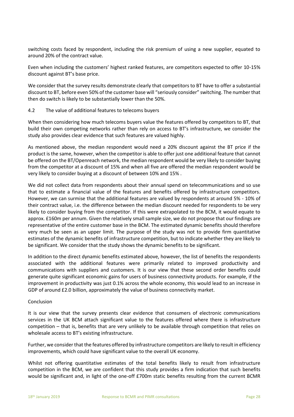switching costs faced by respondent, including the risk premium of using a new supplier, equated to around 20% of the contract value.

Even when including the customers' highest ranked features, are competitors expected to offer 10-15% discount against BT's base price.

We consider that the survey results demonstrate clearly that competitors to BT have to offer a substantial discount to BT, before even 50% of the customer base will "seriously consider" switching. The number that then do switch is likely to be substantially lower than the 50%.

### 4.2 The value of additional features to telecoms buyers

When then considering how much telecoms buyers value the features offered by competitors to BT, that build their own competing networks rather than rely on access to BT's infrastructure, we consider the study also provides clear evidence that such features are valued highly.

As mentioned above, the median respondent would need a 20% discount against the BT price if the product is the same, however, when the competitor is able to offer just one additional feature that cannot be offered on the BT/Openreach network, the median respondent would be very likely to consider buying from the competitor at a discount of 15% and when all five are offered the median respondent would be very likely to consider buying at a discount of between 10% and 15% .

We did not collect data from respondents about their annual spend on telecommunications and so use that to estimate a financial value of the features and benefits offered by infrastructure competitors. However, we can surmise that the additional features are valued by respondents at around 5% - 10% of their contract value, i.e. the difference between the median discount needed for respondents to be very likely to consider buying from the competitor. If this were extrapolated to the BCM, it would equate to approx. £160m per annum. Given the relatively small sample size, we do not propose that our findings are representative of the entire customer base in the BCM. The estimated dynamic benefits should therefore very much be seen as an upper limit. The purpose of the study was not to provide firm quantitative estimates of the dynamic benefits of infrastructure competition, but to indicate whether they are likely to be significant. We consider that the study shows the dynamic benefits to be significant.

In addition to the direct dynamic benefits estimated above, however, the list of benefits the respondents associated with the additional features were primarily related to improved productivity and communications with suppliers and customers. It is our view that these second order benefits could generate quite significant economic gains for users of business connectivity products. For example, if the improvement in productivity was just 0.1% across the whole economy, this would lead to an increase in GDP of around £2.0 billion, approximately the value of business connectivity market.

### Conclusion

It is our view that the survey presents clear evidence that consumers of electronic communications services in the UK BCM attach significant value to the features offered where there is infrastructure competition – that is, benefits that are very unlikely to be available through competition that relies on wholesale access to BT's existing infrastructure.

Further, we consider that the features offered by infrastructure competitors are likely to result in efficiency improvements, which could have significant value to the overall UK economy.

Whilst not offering quantitative estimates of the total benefits likely to result from infrastructure competition in the BCM, we are confident that this study provides a firm indication that such benefits would be significant and, in light of the one-off £700m static benefits resulting from the current BCMR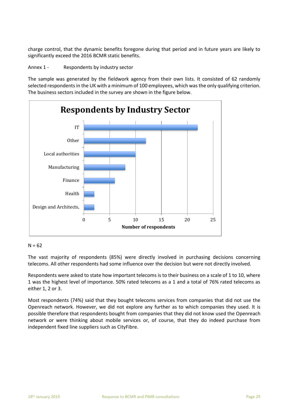charge control, that the dynamic benefits foregone during that period and in future years are likely to significantly exceed the 2016 BCMR static benefits.

### Annex 1 - Respondents by industry sector

The sample was generated by the fieldwork agency from their own lists. It consisted of 62 randomly selected respondents in the UK with a minimum of 100 employees, which was the only qualifying criterion. The business sectors included in the survey are shown in the figure below.



### $N = 62$

The vast majority of respondents (85%) were directly involved in purchasing decisions concerning telecoms. All other respondents had some influence over the decision but were not directly involved.

Respondents were asked to state how important telecoms is to their business on a scale of 1 to 10, where 1 was the highest level of importance. 50% rated telecoms as a 1 and a total of 76% rated telecoms as either 1, 2 or 3.

Most respondents (74%) said that they bought telecoms services from companies that did not use the Openreach network. However, we did not explore any further as to which companies they used. It is possible therefore that respondents bought from companies that they did not know used the Openreach network or were thinking about mobile services or, of course, that they do indeed purchase from independent fixed line suppliers such as CityFibre.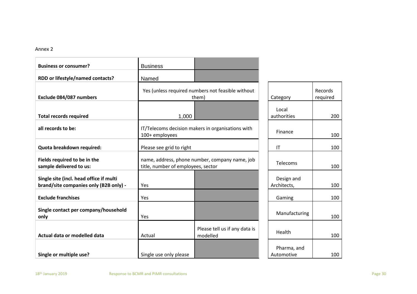### Annex 2

| <b>Business or consumer?</b>                                                      | <b>Business</b>                                                                      |                                                            |                           |                     |
|-----------------------------------------------------------------------------------|--------------------------------------------------------------------------------------|------------------------------------------------------------|---------------------------|---------------------|
| RDD or lifestyle/named contacts?                                                  | Named                                                                                |                                                            |                           |                     |
| Exclude 084/087 numbers                                                           |                                                                                      | Yes (unless required numbers not feasible without<br>them) | Category                  | Records<br>required |
| <b>Total records required</b>                                                     | 1,000                                                                                |                                                            | Local<br>authorities      | 200                 |
| all records to be:                                                                | 100+ employees                                                                       | IT/Telecoms decision makers in organisations with          | Finance                   | 100                 |
| Quota breakdown required:                                                         | Please see grid to right                                                             |                                                            | IT                        | 100                 |
| Fields required to be in the<br>sample delivered to us:                           | name, address, phone number, company name, job<br>title, number of employees, sector |                                                            | Telecoms                  | 100                 |
| Single site (incl. head office if multi<br>brand/site companies only (B2B only) - | Yes                                                                                  |                                                            | Design and<br>Architects, | 100                 |
| <b>Exclude franchises</b>                                                         | Yes                                                                                  |                                                            | Gaming                    | 100                 |
| Single contact per company/household<br>only                                      | Yes                                                                                  |                                                            | Manufacturing             | 100                 |
| Actual data or modelled data                                                      | Actual                                                                               | Please tell us if any data is<br>modelled                  | Health                    | 100                 |
| Single or multiple use?                                                           | Single use only please                                                               |                                                            | Pharma, and<br>Automotive | 100                 |

200

 $100$ 

100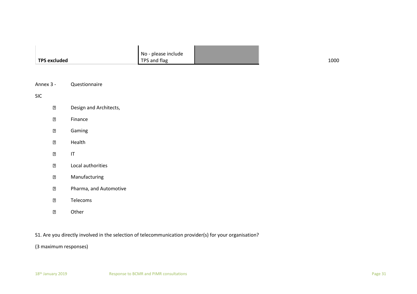|                     | No - please include |      |
|---------------------|---------------------|------|
| <b>TPS excluded</b> | TPS and flag        | 1000 |

| Annex 3 - | Questionnaire |
|-----------|---------------|
|-----------|---------------|

SIC

| $\overline{2}$ | Design and Architects, |
|----------------|------------------------|
|----------------|------------------------|

- $\overline{?}$ Finance
- $\overline{2}$ Gaming
- $\overline{2}$ Health
- $\overline{?}$ IT
- $\overline{?}$ Local authorities
- $\overline{2}$ Manufacturing
- $\overline{?}$ Pharma, and Automotive
- $\boxed{2}$ Telecoms
- $\boxed{2}$ Other

S1. Are you directly involved in the selection of telecommunication provider(s) for your organisation?

(3 maximum responses)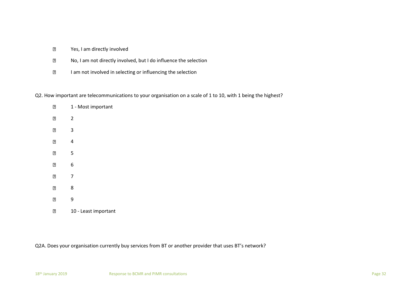- $\overline{?}$ Yes, I am directly involved
- $\overline{?}$ No, I am not directly involved, but I do influence the selection
- $\boxed{2}$ I am not involved in selecting or influencing the selection

### Q2. How important are telecommunications to your organisation on a scale of 1 to 10, with 1 being the highest?

| 2              | 1 - Most important   |
|----------------|----------------------|
| $\overline{2}$ | 2                    |
| 2              | 3                    |
| 2              | 4                    |
| 2              | 5                    |
| $\overline{2}$ | 6                    |
| $\overline{2}$ | 7                    |
| 2              | 8                    |
| 2              | 9                    |
| 2              | 10 - Least important |

Q2A. Does your organisation currently buy services from BT or another provider that uses BT's network?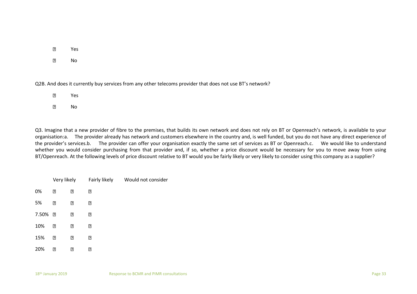| 131 | Yes |
|-----|-----|
|     |     |

 $\overline{2}$ No

Q2B. And does it currently buy services from any other telecoms provider that does not use BT's network?

- $\overline{2}$ Yes
- $\overline{2}$ No

Q3. Imagine that a new provider of fibre to the premises, that builds its own network and does not rely on BT or Openreach's network, is available to your organisation:a. The provider already has network and customers elsewhere in the country and, is well funded, but you do not have any direct experience of the provider's services.b. The provider can offer your organisation exactly the same set of services as BT or Openreach.c. We would like to understand whether you would consider purchasing from that provider and, if so, whether a price discount would be necessary for you to move away from using BT/Openreach. At the following levels of price discount relative to BT would you be fairly likely or very likely to consider using this company as a supplier?

|       | Very likely |   | Fairly likely | Would not consider |
|-------|-------------|---|---------------|--------------------|
| 0%    | ₽           | ₽ | ₽             |                    |
| 5%    | ₽           | ₽ | ₽             |                    |
| 7.50% | ิ้อ         | ₽ | ₽             |                    |
| 10%   | ิ้อ         | ₽ | ₽             |                    |
| 15%   | 7           | ₽ | ₽             |                    |
| 20%   | ₽           | ₽ | ₽             |                    |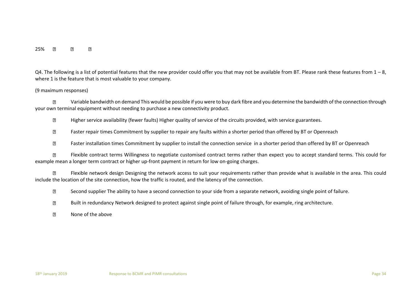### 25%  $\overline{2}$ 17  $\overline{2}$

Q4. The following is a list of potential features that the new provider could offer you that may not be available from BT. Please rank these features from  $1 - 8$ , where 1 is the feature that is most valuable to your company.

### (9 maximum responses)

17 Variable bandwidth on demand This would be possible if you were to buy dark fibre and you determine the bandwidth of the connection through your own terminal equipment without needing to purchase a new connectivity product.

Higher service availability (fewer faults) Higher quality of service of the circuits provided, with service guarantees.  $\overline{?}$ 

 $\overline{?}$ Faster repair times Commitment by supplier to repair any faults within a shorter period than offered by BT or Openreach

 $\sqrt{2}$ Faster installation times Commitment by supplier to install the connection service in a shorter period than offered by BT or Openreach

Flexible contract terms Willingness to negotiate customised contract terms rather than expect you to accept standard terms. This could for  $\overline{2}$ example mean a longer term contract or higher up-front payment in return for low on-going charges.

 $\mathbb{R}$ Flexible network design Designing the network access to suit your requirements rather than provide what is available in the area. This could include the location of the site connection, how the traffic is routed, and the latency of the connection.

 $\overline{2}$ Second supplier The ability to have a second connection to your side from a separate network, avoiding single point of failure.

 $\overline{?}$ Built in redundancy Network designed to protect against single point of failure through, for example, ring architecture.

None of the above $\overline{?}$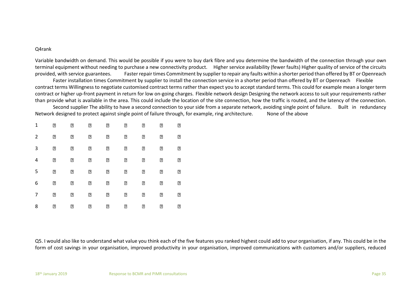### Q4rank

Variable bandwidth on demand. This would be possible if you were to buy dark fibre and you determine the bandwidth of the connection through your own terminal equipment without needing to purchase a new connectivity product. Higher service availability (fewer faults) Higher quality of service of the circuits provided, with service guarantees. Faster repair times Commitment by supplier to repair any faults within a shorter period than offered by BT or Openreach

Faster installation times Commitment by supplier to install the connection service in a shorter period than offered by BT or Openreach Flexible contract terms Willingness to negotiate customised contract terms rather than expect you to accept standard terms. This could for example mean a longer term contract or higher up-front payment in return for low on-going charges. Flexible network design Designing the network access to suit your requirements rather than provide what is available in the area. This could include the location of the site connection, how the traffic is routed, and the latency of the connection.

Second supplier The ability to have a second connection to your side from a separate network, avoiding single point of failure. Built in redundancy Network designed to protect against single point of failure through, for example, ring architecture. None of the above

| 1 | 7 | 7   | 7   | 7   | η    | 7   | 7 | ₽ |
|---|---|-----|-----|-----|------|-----|---|---|
| 2 | 2 | ₽   | ิ้อ | ิ้อ | ิ้⊡ิ | ิ้อ | 卪 | ⊡ |
| 3 | 7 | 7   | 7   | 7   | ิ้ว  | 0   | 7 | ₽ |
| 4 | 7 | 0   | 0   | 0   | ₽    | 0   | 7 | ₽ |
| 5 | 0 | 0   | 0   | 0   | 0    | 0   | 7 | ₽ |
| 6 | 2 | ิ้เ | ิ้อ | ิ้อ | 2    | ิ้อ | 2 | ⊡ |
| 7 | 7 | 7   | 7   | 0   | 7    | 2   | 7 | ₽ |
| 8 | ₽ | 7   | 7   | 7   | ₽    | ₽   | ? | ₽ |

Q5. I would also like to understand what value you think each of the five features you ranked highest could add to your organisation, if any. This could be in the form of cost savings in your organisation, improved productivity in your organisation, improved communications with customers and/or suppliers, reduced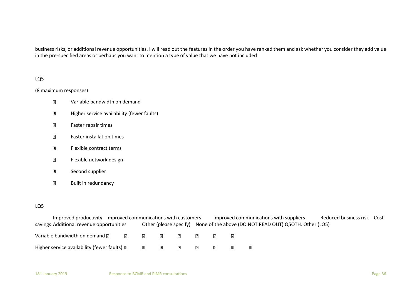business risks, or additional revenue opportunities. I will read out the features in the order you have ranked them and ask whether you consider they add value in the pre-specified areas or perhaps you want to mention a type of value that we have not included

### LQ5

### (8 maximum responses)

- $\mathbf{R}$ Variable bandwidth on demand
- Higher service availability (fewer faults)  $\overline{?}$
- $\overline{R}$ Faster repair times
- $\overline{2}$ Faster installation times
- $\overline{?}$ Flexible contract terms
- Flexible network design  $\overline{R}$
- $\overline{R}$ Second supplier
- Built in redundancy  $\overline{?}$

### LQ5

Improved productivity Improved communications with customers Improved communications with suppliers Reduced business risk Cost savings Additional revenue opportunities Other (please specify) None of the above (DO NOT READ OUT) Q5OTH. Other (LQ5)

| Variable bandwidth on demand ?               | $\mathbb{R}$ |              | $\vert \cdot \vert$ $\vert \cdot \vert$ | $\mathbb{R}$ |  |  |
|----------------------------------------------|--------------|--------------|-----------------------------------------|--------------|--|--|
| Higher service availability (fewer faults) 2 |              | $\mathbb{R}$ | $\mathbb{R}$                            | $\mathbb{R}$ |  |  |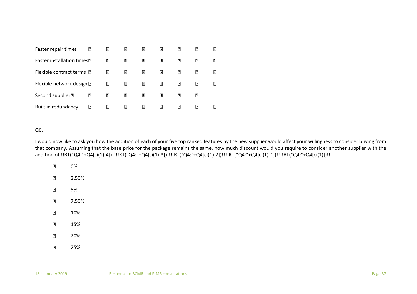| Faster repair times              | ? | ⊡   | " | ₽ | ?   | 2  | 2 | 卪          |
|----------------------------------|---|-----|---|---|-----|----|---|------------|
| <b>Faster installation times</b> |   | 7   | " | ? | ?   | "  | ? | $\sqrt{2}$ |
| Flexible contract terms 2        |   | ⊡   | 卪 | 卪 | 卪   | 卪  | 卪 | 卪          |
| Flexible network design ?        |   | ิ้อ | 2 | ? | 7   | 2  | ? | $\sqrt{2}$ |
| Second supplier <sup>[2]</sup>   | ? | "   | " | 2 | ßI. | "  | ? |            |
| Built in redundancy              | " | "   | n | 卪 | n   | 13 | R | 13         |

### Q6.

I would now like to ask you how the addition of each of your five top ranked features by the new supplier would affect your willingness to consider buying from that company. Assuming that the base price for the package remains the same, how much discount would you require to consider another supplier with the addition of:!!RT("Q4:"+Q4[ci(1)-4])!!!!RT("Q4:"+Q4[ci(1)-3])!!!!RT("Q4:"+Q4[ci(1)-2])!!!!RT("Q4:"+Q4[ci(1)-1])!!!!RT("Q4:"+Q4[ci(1)])!!

 $\overline{2}$ 0%  $\boxed{2}$ 2.50%  $\overline{2}$ 5% 7.50%  $\overline{2}$  $\boxed{2}$ 10% 15%  $\overline{2}$  $\overline{2}$ 20%  $\boxed{2}$ 25%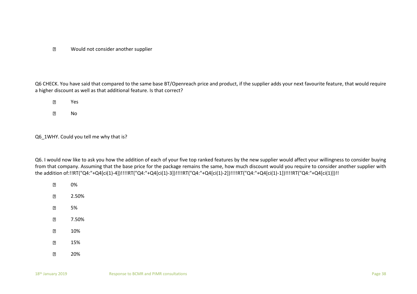Would not consider another supplier  $\overline{2}$ 

Q6 CHECK. You have said that compared to the same base BT/Openreach price and product, if the supplier adds your next favourite feature, that would require a higher discount as well as that additional feature. Is that correct?

 $\overline{2}$ Yes  $\overline{2}$ No

Q6 1WHY. Could you tell me why that is?

- $\boxed{2}$ 0%
- $\overline{2}$ 2.50%
- $\overline{?}$ 5%
- $\overline{R}$ 7.50%
- $\overline{2}$ 10%
- $\overline{R}$ 15%
- $\overline{2}$ 20%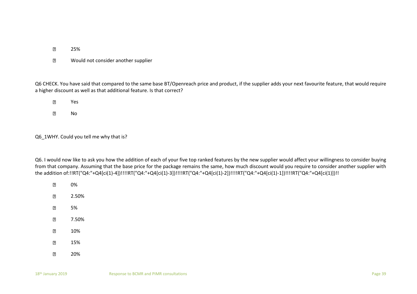- $\overline{2}$ 25%
- Would not consider another supplier  $\overline{?}$

Q6 CHECK. You have said that compared to the same base BT/Openreach price and product, if the supplier adds your next favourite feature, that would require a higher discount as well as that additional feature. Is that correct?

 $\overline{2}$ Yes  $\overline{2}$ No

Q6 1WHY. Could you tell me why that is?

- $\boxed{2}$ 0%
- $\overline{2}$ 2.50%
- $\overline{?}$ 5%
- $\overline{R}$ 7.50%
- $\overline{2}$ 10%
- $\overline{R}$ 15%
- $\overline{2}$ 20%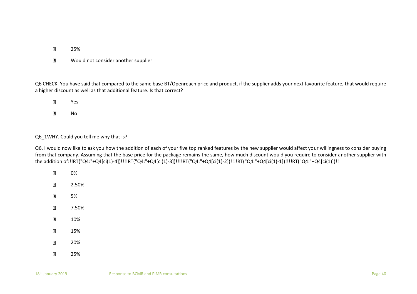- $\overline{2}$ 25%
- Would not consider another supplier  $\overline{?}$

Q6 CHECK. You have said that compared to the same base BT/Openreach price and product, if the supplier adds your next favourite feature, that would require a higher discount as well as that additional feature. Is that correct?

| 卪 | Yes |
|---|-----|
| n | No  |

### Q6 1WHY. Could you tell me why that is?

| ⊓   | 0%    |
|-----|-------|
| ףן  | 2.50% |
| ⊓   | 5%    |
| ⊓   | 7.50% |
| 卪   | 10%   |
| ाः  | 15%   |
| ףן  | 20%   |
| 131 | 25%   |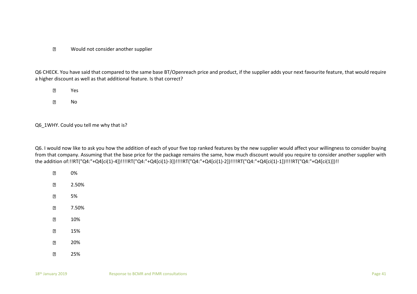### Would not consider another supplier  $\overline{2}$

Q6 CHECK. You have said that compared to the same base BT/Openreach price and product, if the supplier adds your next favourite feature, that would require a higher discount as well as that additional feature. Is that correct?

 $\overline{2}$ Yes  $\overline{?}$ No

Q6\_1WHY. Could you tell me why that is?

| ףן | 0%    |
|----|-------|
| ףן | 2.50% |
| ףן | 5%    |
| ףן | 7.50% |
| 卪  | 10%   |
| ाः | 15%   |
| ⊓  | 20%   |
| 13 | 25%   |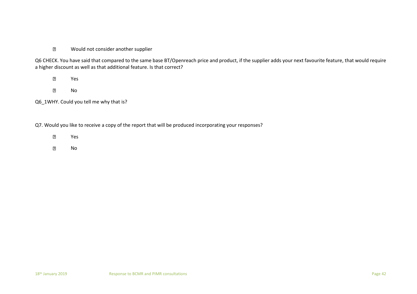### $\overline{2}$ Would not consider another supplier

Q6 CHECK. You have said that compared to the same base BT/Openreach price and product, if the supplier adds your next favourite feature, that would require a higher discount as well as that additional feature. Is that correct?

 $\overline{2}$ Yes

 $\overline{2}$ No

Q6\_1WHY. Could you tell me why that is?

Q7. Would you like to receive a copy of the report that will be produced incorporating your responses?

- $\overline{2}$ Yes
- $\boxed{2}$ No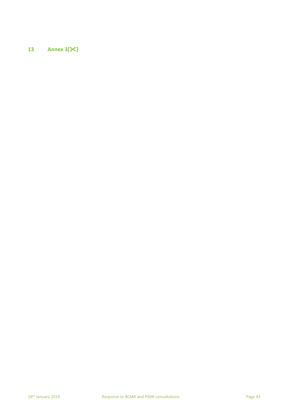# **13 Annex 3[]**